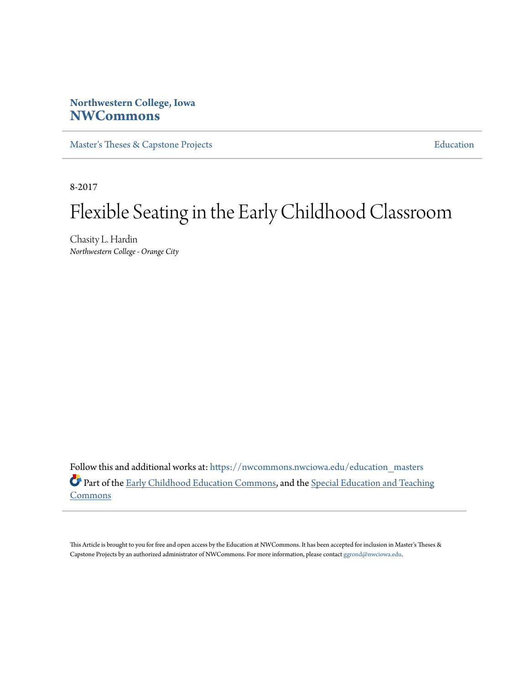# **Northwestern College, Iowa [NWCommons](https://nwcommons.nwciowa.edu?utm_source=nwcommons.nwciowa.edu%2Feducation_masters%2F50&utm_medium=PDF&utm_campaign=PDFCoverPages)**

[Master's Theses & Capstone Projects](https://nwcommons.nwciowa.edu/education_masters?utm_source=nwcommons.nwciowa.edu%2Feducation_masters%2F50&utm_medium=PDF&utm_campaign=PDFCoverPages) **[Education](https://nwcommons.nwciowa.edu/education?utm_source=nwcommons.nwciowa.edu%2Feducation_masters%2F50&utm_medium=PDF&utm_campaign=PDFCoverPages)** 

8-2017

# Flexible Seating in the Early Childhood Classroom

Chasity L. Hardin *Northwestern College - Orange City*

Follow this and additional works at: [https://nwcommons.nwciowa.edu/education\\_masters](https://nwcommons.nwciowa.edu/education_masters?utm_source=nwcommons.nwciowa.edu%2Feducation_masters%2F50&utm_medium=PDF&utm_campaign=PDFCoverPages) Part of the [Early Childhood Education Commons,](http://network.bepress.com/hgg/discipline/1377?utm_source=nwcommons.nwciowa.edu%2Feducation_masters%2F50&utm_medium=PDF&utm_campaign=PDFCoverPages) and the [Special Education and Teaching](http://network.bepress.com/hgg/discipline/801?utm_source=nwcommons.nwciowa.edu%2Feducation_masters%2F50&utm_medium=PDF&utm_campaign=PDFCoverPages) **[Commons](http://network.bepress.com/hgg/discipline/801?utm_source=nwcommons.nwciowa.edu%2Feducation_masters%2F50&utm_medium=PDF&utm_campaign=PDFCoverPages)** 

This Article is brought to you for free and open access by the Education at NWCommons. It has been accepted for inclusion in Master's Theses & Capstone Projects by an authorized administrator of NWCommons. For more information, please contact [ggrond@nwciowa.edu.](mailto:ggrond@nwciowa.edu)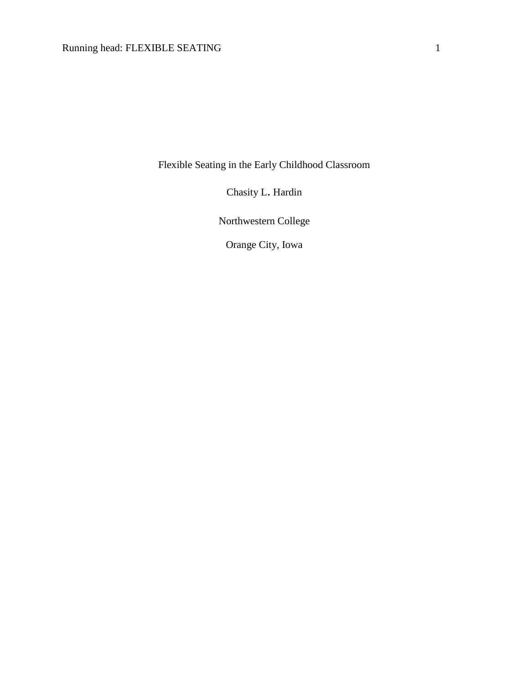Flexible Seating in the Early Childhood Classroom

Chasity L. Hardin

Northwestern College

Orange City, Iowa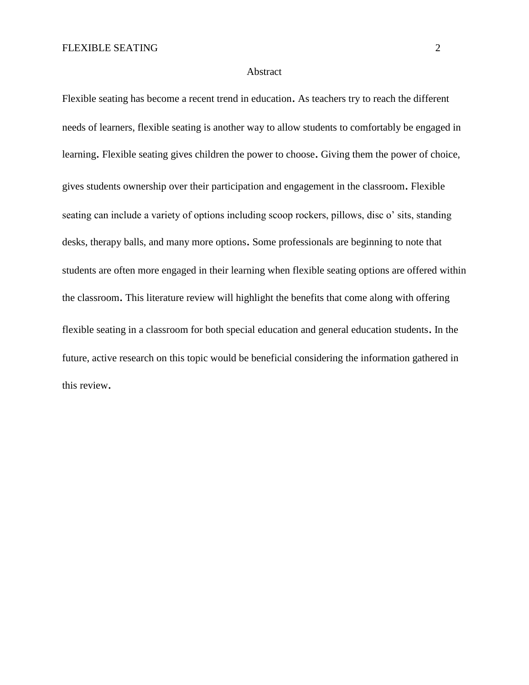# Abstract

Flexible seating has become a recent trend in education. As teachers try to reach the different needs of learners, flexible seating is another way to allow students to comfortably be engaged in learning. Flexible seating gives children the power to choose. Giving them the power of choice, gives students ownership over their participation and engagement in the classroom. Flexible seating can include a variety of options including scoop rockers, pillows, disc o' sits, standing desks, therapy balls, and many more options. Some professionals are beginning to note that students are often more engaged in their learning when flexible seating options are offered within the classroom. This literature review will highlight the benefits that come along with offering flexible seating in a classroom for both special education and general education students. In the future, active research on this topic would be beneficial considering the information gathered in this review.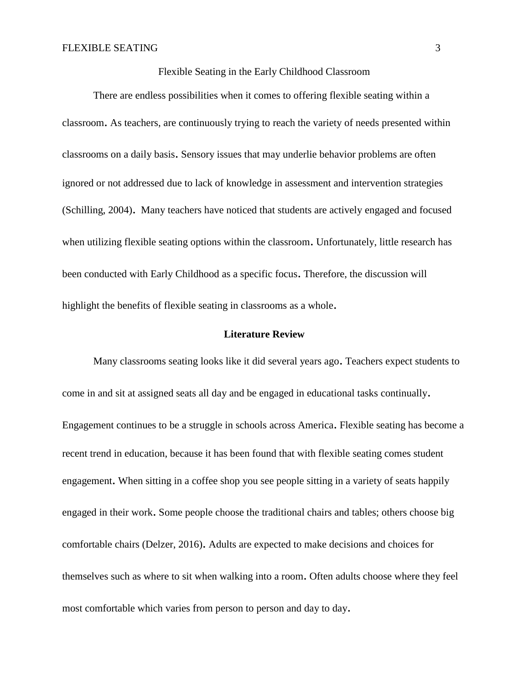# Flexible Seating in the Early Childhood Classroom

There are endless possibilities when it comes to offering flexible seating within a classroom. As teachers, are continuously trying to reach the variety of needs presented within classrooms on a daily basis. Sensory issues that may underlie behavior problems are often ignored or not addressed due to lack of knowledge in assessment and intervention strategies (Schilling, 2004). Many teachers have noticed that students are actively engaged and focused when utilizing flexible seating options within the classroom. Unfortunately, little research has been conducted with Early Childhood as a specific focus. Therefore, the discussion will highlight the benefits of flexible seating in classrooms as a whole.

## **Literature Review**

Many classrooms seating looks like it did several years ago. Teachers expect students to come in and sit at assigned seats all day and be engaged in educational tasks continually. Engagement continues to be a struggle in schools across America. Flexible seating has become a recent trend in education, because it has been found that with flexible seating comes student engagement. When sitting in a coffee shop you see people sitting in a variety of seats happily engaged in their work. Some people choose the traditional chairs and tables; others choose big comfortable chairs (Delzer, 2016). Adults are expected to make decisions and choices for themselves such as where to sit when walking into a room. Often adults choose where they feel most comfortable which varies from person to person and day to day.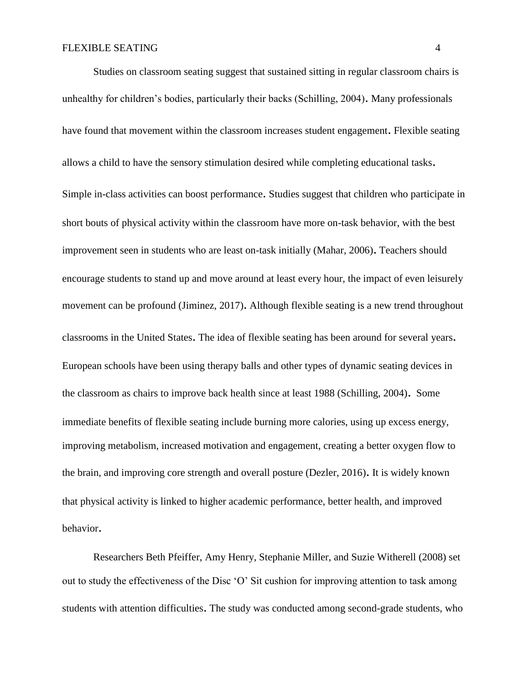Studies on classroom seating suggest that sustained sitting in regular classroom chairs is unhealthy for children's bodies, particularly their backs (Schilling, 2004). Many professionals have found that movement within the classroom increases student engagement. Flexible seating allows a child to have the sensory stimulation desired while completing educational tasks. Simple in-class activities can boost performance. Studies suggest that children who participate in short bouts of physical activity within the classroom have more on-task behavior, with the best improvement seen in students who are least on-task initially (Mahar, 2006). Teachers should encourage students to stand up and move around at least every hour, the impact of even leisurely movement can be profound (Jiminez, 2017). Although flexible seating is a new trend throughout classrooms in the United States. The idea of flexible seating has been around for several years. European schools have been using therapy balls and other types of dynamic seating devices in the classroom as chairs to improve back health since at least 1988 (Schilling, 2004). Some immediate benefits of flexible seating include burning more calories, using up excess energy, improving metabolism, increased motivation and engagement, creating a better oxygen flow to the brain, and improving core strength and overall posture (Dezler, 2016). It is widely known that physical activity is linked to higher academic performance, better health, and improved behavior.

Researchers Beth Pfeiffer, Amy Henry, Stephanie Miller, and Suzie Witherell (2008) set out to study the effectiveness of the Disc 'O' Sit cushion for improving attention to task among students with attention difficulties. The study was conducted among second-grade students, who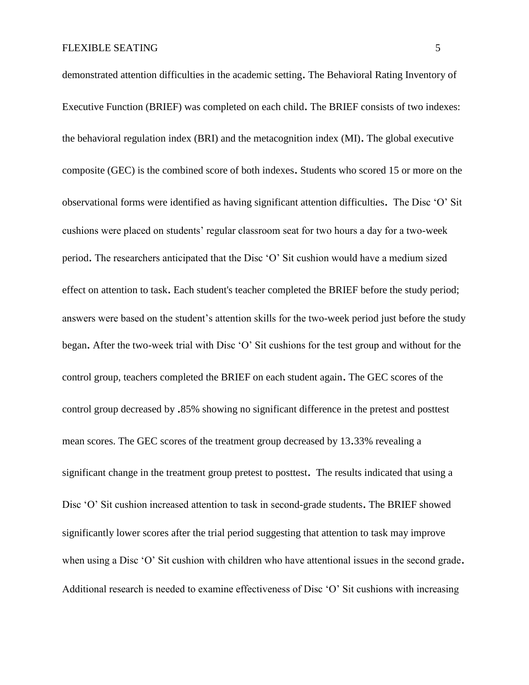demonstrated attention difficulties in the academic setting. The Behavioral Rating Inventory of Executive Function (BRIEF) was completed on each child. The BRIEF consists of two indexes: the behavioral regulation index (BRI) and the metacognition index (MI). The global executive composite (GEC) is the combined score of both indexes. Students who scored 15 or more on the observational forms were identified as having significant attention difficulties. The Disc 'O' Sit cushions were placed on students' regular classroom seat for two hours a day for a two-week period. The researchers anticipated that the Disc 'O' Sit cushion would have a medium sized effect on attention to task. Each student's teacher completed the BRIEF before the study period; answers were based on the student's attention skills for the two-week period just before the study began. After the two-week trial with Disc 'O' Sit cushions for the test group and without for the control group, teachers completed the BRIEF on each student again. The GEC scores of the control group decreased by .85% showing no significant difference in the pretest and posttest mean scores. The GEC scores of the treatment group decreased by 13.33% revealing a significant change in the treatment group pretest to posttest. The results indicated that using a Disc 'O' Sit cushion increased attention to task in second-grade students. The BRIEF showed significantly lower scores after the trial period suggesting that attention to task may improve when using a Disc 'O' Sit cushion with children who have attentional issues in the second grade. Additional research is needed to examine effectiveness of Disc 'O' Sit cushions with increasing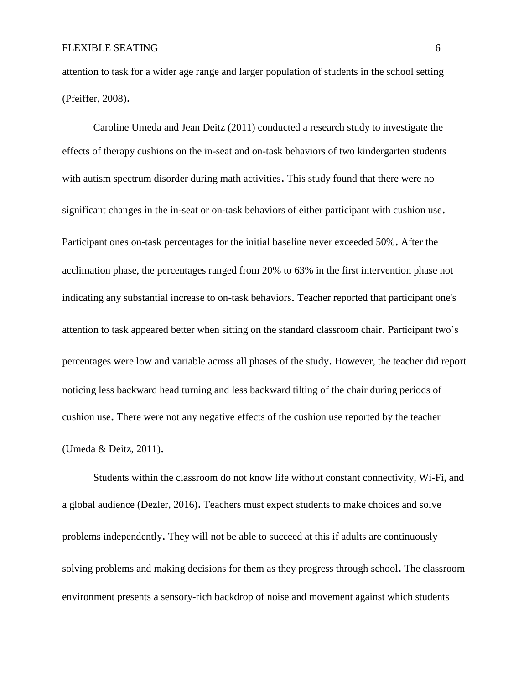attention to task for a wider age range and larger population of students in the school setting (Pfeiffer, 2008).

Caroline Umeda and Jean Deitz (2011) conducted a research study to investigate the effects of therapy cushions on the in-seat and on-task behaviors of two kindergarten students with autism spectrum disorder during math activities. This study found that there were no significant changes in the in-seat or on-task behaviors of either participant with cushion use. Participant ones on-task percentages for the initial baseline never exceeded 50%. After the acclimation phase, the percentages ranged from 20% to 63% in the first intervention phase not indicating any substantial increase to on-task behaviors. Teacher reported that participant one's attention to task appeared better when sitting on the standard classroom chair. Participant two's percentages were low and variable across all phases of the study. However, the teacher did report noticing less backward head turning and less backward tilting of the chair during periods of cushion use. There were not any negative effects of the cushion use reported by the teacher (Umeda & Deitz, 2011).

Students within the classroom do not know life without constant connectivity, Wi-Fi, and a global audience (Dezler, 2016). Teachers must expect students to make choices and solve problems independently. They will not be able to succeed at this if adults are continuously solving problems and making decisions for them as they progress through school. The classroom environment presents a sensory-rich backdrop of noise and movement against which students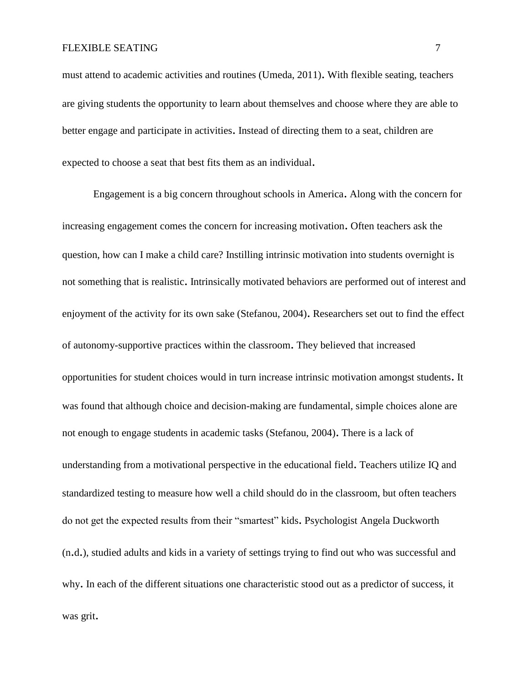must attend to academic activities and routines (Umeda, 2011). With flexible seating, teachers are giving students the opportunity to learn about themselves and choose where they are able to better engage and participate in activities. Instead of directing them to a seat, children are expected to choose a seat that best fits them as an individual.

Engagement is a big concern throughout schools in America. Along with the concern for increasing engagement comes the concern for increasing motivation. Often teachers ask the question, how can I make a child care? Instilling intrinsic motivation into students overnight is not something that is realistic. Intrinsically motivated behaviors are performed out of interest and enjoyment of the activity for its own sake (Stefanou, 2004). Researchers set out to find the effect of autonomy-supportive practices within the classroom. They believed that increased opportunities for student choices would in turn increase intrinsic motivation amongst students. It was found that although choice and decision-making are fundamental, simple choices alone are not enough to engage students in academic tasks (Stefanou, 2004). There is a lack of understanding from a motivational perspective in the educational field. Teachers utilize IQ and standardized testing to measure how well a child should do in the classroom, but often teachers do not get the expected results from their "smartest" kids. Psychologist Angela Duckworth (n.d.), studied adults and kids in a variety of settings trying to find out who was successful and why. In each of the different situations one characteristic stood out as a predictor of success, it was grit.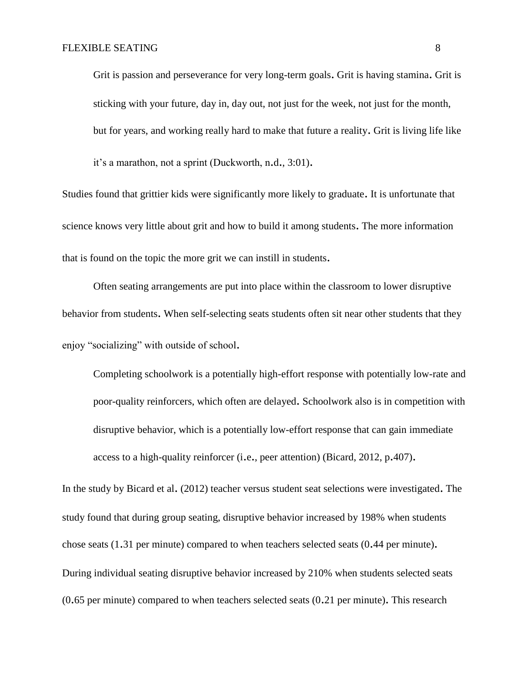Grit is passion and perseverance for very long-term goals. Grit is having stamina. Grit is sticking with your future, day in, day out, not just for the week, not just for the month, but for years, and working really hard to make that future a reality. Grit is living life like it's a marathon, not a sprint (Duckworth, n.d., 3:01).

Studies found that grittier kids were significantly more likely to graduate. It is unfortunate that science knows very little about grit and how to build it among students. The more information that is found on the topic the more grit we can instill in students.

Often seating arrangements are put into place within the classroom to lower disruptive behavior from students. When self-selecting seats students often sit near other students that they enjoy "socializing" with outside of school.

Completing schoolwork is a potentially high-effort response with potentially low-rate and poor-quality reinforcers, which often are delayed. Schoolwork also is in competition with disruptive behavior, which is a potentially low-effort response that can gain immediate access to a high-quality reinforcer (i.e., peer attention) (Bicard, 2012, p.407).

In the study by Bicard et al. (2012) teacher versus student seat selections were investigated. The study found that during group seating, disruptive behavior increased by 198% when students chose seats (1.31 per minute) compared to when teachers selected seats (0.44 per minute). During individual seating disruptive behavior increased by 210% when students selected seats (0.65 per minute) compared to when teachers selected seats (0.21 per minute). This research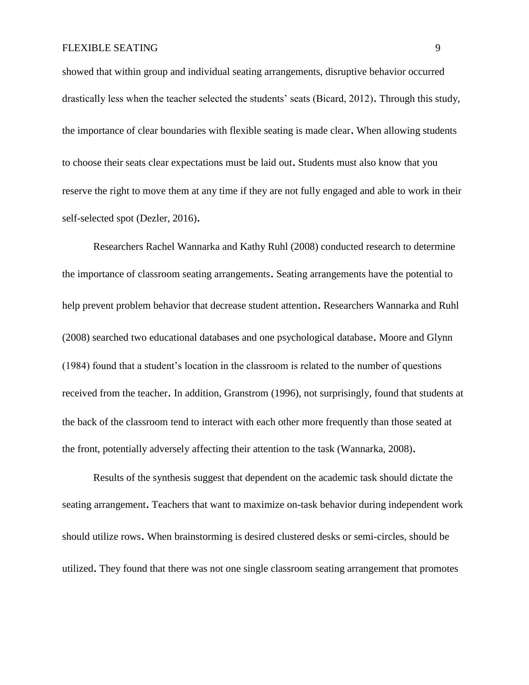showed that within group and individual seating arrangements, disruptive behavior occurred drastically less when the teacher selected the students' seats (Bicard, 2012). Through this study, the importance of clear boundaries with flexible seating is made clear. When allowing students to choose their seats clear expectations must be laid out. Students must also know that you reserve the right to move them at any time if they are not fully engaged and able to work in their self-selected spot (Dezler, 2016).

Researchers Rachel Wannarka and Kathy Ruhl (2008) conducted research to determine the importance of classroom seating arrangements. Seating arrangements have the potential to help prevent problem behavior that decrease student attention. Researchers Wannarka and Ruhl (2008) searched two educational databases and one psychological database. Moore and Glynn (1984) found that a student's location in the classroom is related to the number of questions received from the teacher. In addition, Granstrom (1996), not surprisingly, found that students at the back of the classroom tend to interact with each other more frequently than those seated at the front, potentially adversely affecting their attention to the task (Wannarka, 2008).

Results of the synthesis suggest that dependent on the academic task should dictate the seating arrangement. Teachers that want to maximize on-task behavior during independent work should utilize rows. When brainstorming is desired clustered desks or semi-circles, should be utilized. They found that there was not one single classroom seating arrangement that promotes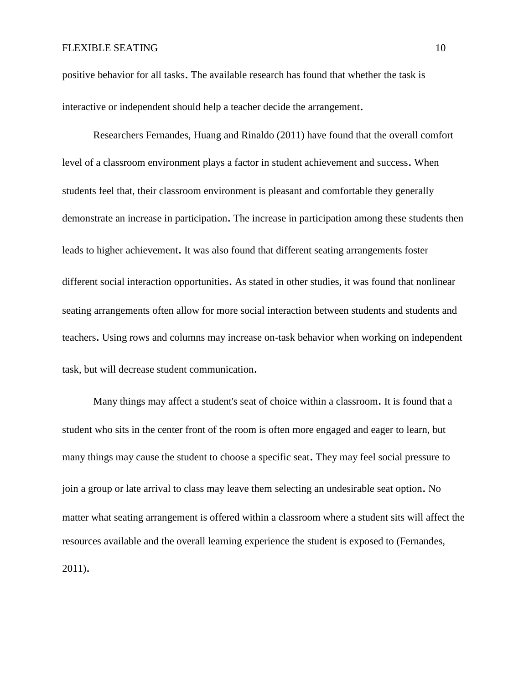positive behavior for all tasks. The available research has found that whether the task is interactive or independent should help a teacher decide the arrangement.

Researchers Fernandes, Huang and Rinaldo (2011) have found that the overall comfort level of a classroom environment plays a factor in student achievement and success. When students feel that, their classroom environment is pleasant and comfortable they generally demonstrate an increase in participation. The increase in participation among these students then leads to higher achievement. It was also found that different seating arrangements foster different social interaction opportunities. As stated in other studies, it was found that nonlinear seating arrangements often allow for more social interaction between students and students and teachers. Using rows and columns may increase on-task behavior when working on independent task, but will decrease student communication.

Many things may affect a student's seat of choice within a classroom. It is found that a student who sits in the center front of the room is often more engaged and eager to learn, but many things may cause the student to choose a specific seat. They may feel social pressure to join a group or late arrival to class may leave them selecting an undesirable seat option. No matter what seating arrangement is offered within a classroom where a student sits will affect the resources available and the overall learning experience the student is exposed to (Fernandes, 2011).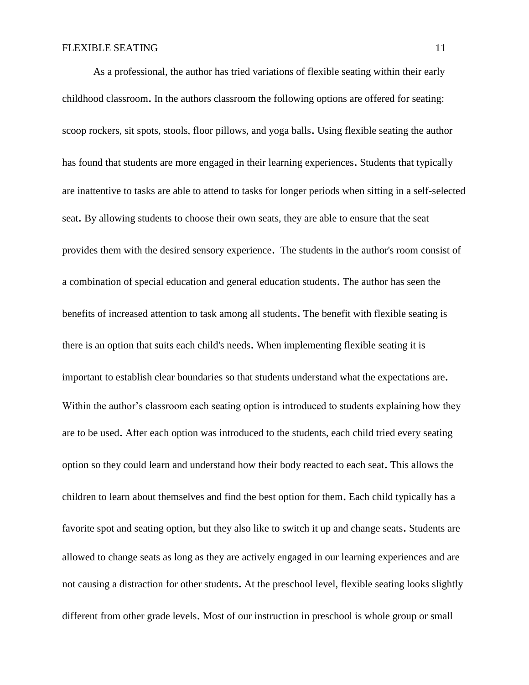As a professional, the author has tried variations of flexible seating within their early childhood classroom. In the authors classroom the following options are offered for seating: scoop rockers, sit spots, stools, floor pillows, and yoga balls. Using flexible seating the author has found that students are more engaged in their learning experiences. Students that typically are inattentive to tasks are able to attend to tasks for longer periods when sitting in a self-selected seat. By allowing students to choose their own seats, they are able to ensure that the seat provides them with the desired sensory experience. The students in the author's room consist of a combination of special education and general education students. The author has seen the benefits of increased attention to task among all students. The benefit with flexible seating is there is an option that suits each child's needs. When implementing flexible seating it is important to establish clear boundaries so that students understand what the expectations are. Within the author's classroom each seating option is introduced to students explaining how they are to be used. After each option was introduced to the students, each child tried every seating option so they could learn and understand how their body reacted to each seat. This allows the children to learn about themselves and find the best option for them. Each child typically has a favorite spot and seating option, but they also like to switch it up and change seats. Students are allowed to change seats as long as they are actively engaged in our learning experiences and are not causing a distraction for other students. At the preschool level, flexible seating looks slightly different from other grade levels. Most of our instruction in preschool is whole group or small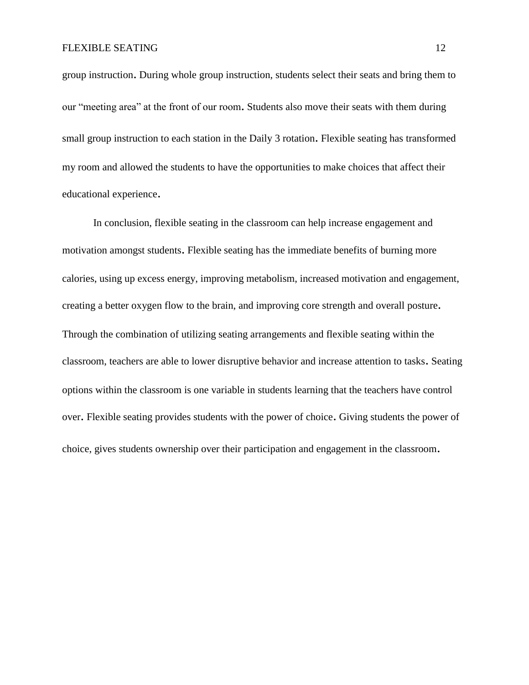group instruction. During whole group instruction, students select their seats and bring them to our "meeting area" at the front of our room. Students also move their seats with them during small group instruction to each station in the Daily 3 rotation. Flexible seating has transformed my room and allowed the students to have the opportunities to make choices that affect their educational experience.

In conclusion, flexible seating in the classroom can help increase engagement and motivation amongst students. Flexible seating has the immediate benefits of burning more calories, using up excess energy, improving metabolism, increased motivation and engagement, creating a better oxygen flow to the brain, and improving core strength and overall posture. Through the combination of utilizing seating arrangements and flexible seating within the classroom, teachers are able to lower disruptive behavior and increase attention to tasks. Seating options within the classroom is one variable in students learning that the teachers have control over. Flexible seating provides students with the power of choice. Giving students the power of choice, gives students ownership over their participation and engagement in the classroom.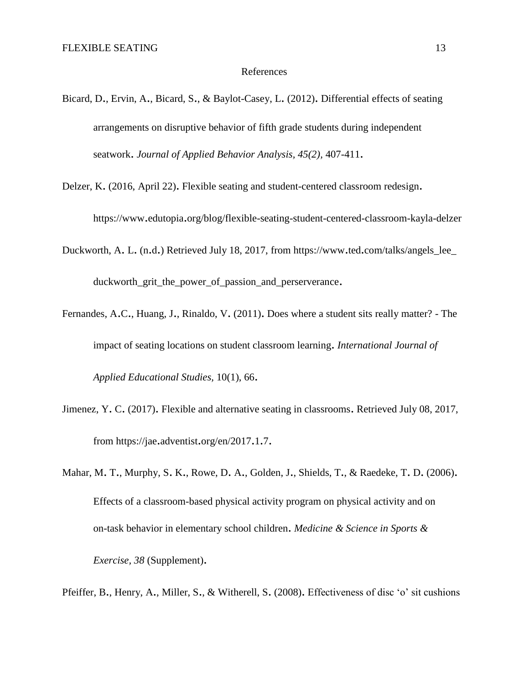#### References

Bicard, D., Ervin, A., Bicard, S., & Baylot-Casey, L. (2012). Differential effects of seating arrangements on disruptive behavior of fifth grade students during independent seatwork. *Journal of Applied Behavior Analysis, 45(2),* 407-411.

Delzer, K. (2016, April 22). Flexible seating and student-centered classroom redesign.

https://www.edutopia.org/blog/flexible-seating-student-centered-classroom-kayla-delzer

- Duckworth, A. L. (n.d.) Retrieved July 18, 2017, from https://www.ted.com/talks/angels\_lee\_ duckworth\_grit\_the\_power\_of\_passion\_and\_perserverance.
- Fernandes, A.C., Huang, J., Rinaldo, V. (2011). Does where a student sits really matter? The impact of seating locations on student classroom learning. *International Journal of Applied Educational Studies,* 10(1), 66.
- Jimenez, Y. C. (2017). Flexible and alternative seating in classrooms. Retrieved July 08, 2017, from https://jae.adventist.org/en/2017.1.7.
- Mahar, M. T., Murphy, S. K., Rowe, D. A., Golden, J., Shields, T., & Raedeke, T. D. (2006). Effects of a classroom-based physical activity program on physical activity and on on-task behavior in elementary school children. *Medicine & Science in Sports & Exercise, 38* (Supplement).

Pfeiffer, B., Henry, A., Miller, S., & Witherell, S. (2008). Effectiveness of disc 'o' sit cushions